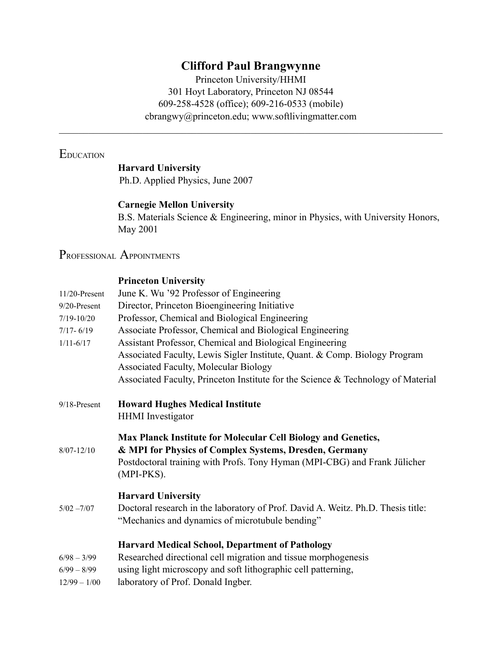# **Clifford Paul Brangwynne**

Princeton University/HHMI 301 Hoyt Laboratory, Princeton NJ 08544 609-258-4528 (office); 609-216-0533 (mobile) [cbrangwy@princeton.edu;](mailto:cbrangwy@princeton.edu) [www.softlivingmatter.com](http://www.softlivingmatter.com)

 $\mathcal{L}_\mathcal{L} = \mathcal{L}_\mathcal{L} = \mathcal{L}_\mathcal{L} = \mathcal{L}_\mathcal{L} = \mathcal{L}_\mathcal{L} = \mathcal{L}_\mathcal{L} = \mathcal{L}_\mathcal{L} = \mathcal{L}_\mathcal{L} = \mathcal{L}_\mathcal{L} = \mathcal{L}_\mathcal{L} = \mathcal{L}_\mathcal{L} = \mathcal{L}_\mathcal{L} = \mathcal{L}_\mathcal{L} = \mathcal{L}_\mathcal{L} = \mathcal{L}_\mathcal{L} = \mathcal{L}_\mathcal{L} = \mathcal{L}_\mathcal{L}$ 

# **EDUCATION**

## **Harvard University**

Ph.D. Applied Physics, June 2007

#### **Carnegie Mellon University**

B.S. Materials Science & Engineering, minor in Physics, with University Honors, May 2001

# PROFESSIONAL APPOINTMENTS

#### **Princeton University**

| $11/20$ -Present | June K. Wu '92 Professor of Engineering                                                                                                                                                                            |
|------------------|--------------------------------------------------------------------------------------------------------------------------------------------------------------------------------------------------------------------|
| 9/20-Present     | Director, Princeton Bioengineering Initiative                                                                                                                                                                      |
| $7/19 - 10/20$   | Professor, Chemical and Biological Engineering                                                                                                                                                                     |
| $7/17 - 6/19$    | Associate Professor, Chemical and Biological Engineering                                                                                                                                                           |
| $1/11 - 6/17$    | Assistant Professor, Chemical and Biological Engineering                                                                                                                                                           |
|                  | Associated Faculty, Lewis Sigler Institute, Quant. & Comp. Biology Program                                                                                                                                         |
|                  | <b>Associated Faculty, Molecular Biology</b>                                                                                                                                                                       |
|                  | Associated Faculty, Princeton Institute for the Science & Technology of Material                                                                                                                                   |
| 9/18-Present     | <b>Howard Hughes Medical Institute</b>                                                                                                                                                                             |
|                  | <b>HHMI</b> Investigator                                                                                                                                                                                           |
| $8/07 - 12/10$   | Max Planck Institute for Molecular Cell Biology and Genetics,<br>& MPI for Physics of Complex Systems, Dresden, Germany<br>Postdoctoral training with Profs. Tony Hyman (MPI-CBG) and Frank Jülicher<br>(MPI-PKS). |
|                  | <b>Harvard University</b>                                                                                                                                                                                          |
| $5/02 - 7/07$    | Doctoral research in the laboratory of Prof. David A. Weitz. Ph.D. Thesis title:<br>"Mechanics and dynamics of microtubule bending"                                                                                |
|                  | <b>Harvard Medical School, Department of Pathology</b>                                                                                                                                                             |
| $6/98 - 3/99$    | Researched directional cell migration and tissue morphogenesis                                                                                                                                                     |
| $6/99 - 8/99$    | using light microscopy and soft lithographic cell patterning,                                                                                                                                                      |
| $12/99 - 1/00$   | laboratory of Prof. Donald Ingber.                                                                                                                                                                                 |
|                  |                                                                                                                                                                                                                    |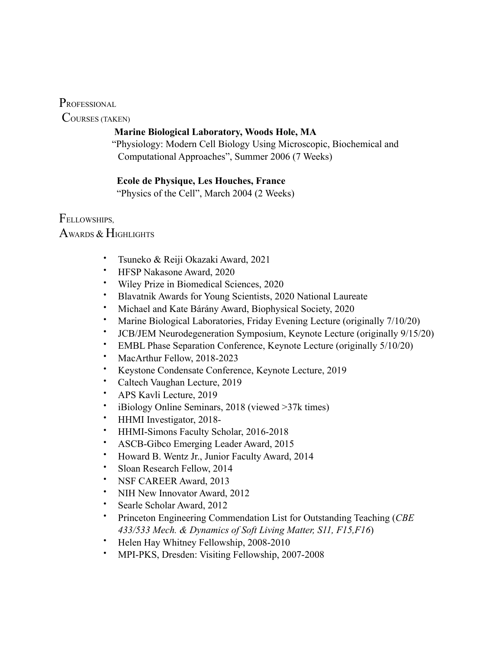PROFESSIONAL

COURSES (TAKEN)

### **Marine Biological Laboratory, Woods Hole, MA**

 "Physiology: Modern Cell Biology Using Microscopic, Biochemical and Computational Approaches", Summer 2006 (7 Weeks)

## **Ecole de Physique, Les Houches, France**

"Physics of the Cell", March 2004 (2 Weeks)

**FELLOWSHIPS** 

AWARDS & HIGHLIGHTS

- Tsuneko & Reiji Okazaki Award, 2021
- HFSP Nakasone Award, 2020
- Wiley Prize in Biomedical Sciences, 2020
- Blavatnik Awards for Young Scientists, 2020 National Laureate
- Michael and Kate Bárány Award, Biophysical Society, 2020
- Marine Biological Laboratories, Friday Evening Lecture (originally 7/10/20)
- JCB/JEM Neurodegeneration Symposium, Keynote Lecture (originally 9/15/20)
- EMBL Phase Separation Conference, Keynote Lecture (originally 5/10/20)
- MacArthur Fellow, 2018-2023
- Keystone Condensate Conference, Keynote Lecture, 2019
- Caltech Vaughan Lecture, 2019
- APS Kavli Lecture, 2019
- iBiology Online Seminars, 2018 (viewed >37k times)
- HHMI Investigator, 2018-
- HHMI-Simons Faculty Scholar, 2016-2018
- ASCB-Gibco Emerging Leader Award, 2015
- Howard B. Wentz Jr., Junior Faculty Award, 2014
- Sloan Research Fellow, 2014
- NSF CAREER Award, 2013
- NIH New Innovator Award, 2012
- Searle Scholar Award, 2012
- Princeton Engineering Commendation List for Outstanding Teaching (*CBE 433/533 Mech. & Dynamics of Soft Living Matter, S11, F15,F16*)
- Helen Hay Whitney Fellowship, 2008-2010
- MPI-PKS, Dresden: Visiting Fellowship, 2007-2008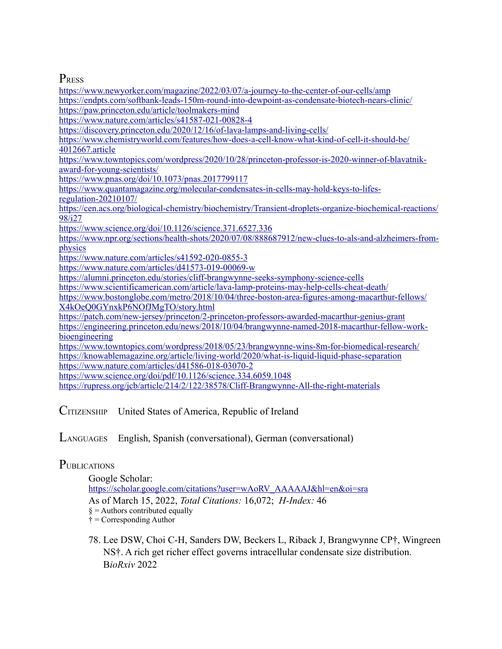## **PRESS**

<https://endpts.com/softbank-leads-150m-round-into-dewpoint-as-condensate-biotech-nears-clinic/> <https://paw.princeton.edu/article/toolmakers-mind> <https://www.nature.com/articles/s41587-021-00828-4> <https://discovery.princeton.edu/2020/12/16/of-lava-lamps-and-living-cells/> [https://www.chemistryworld.com/features/how-does-a-cell-know-what-kind-of-cell-it-should-be/](https://www.chemistryworld.com/features/how-does-a-cell-know-what-kind-of-cell-it-should-be/4012667.article) [4012667.article](https://www.chemistryworld.com/features/how-does-a-cell-know-what-kind-of-cell-it-should-be/4012667.article) [https://www.towntopics.com/wordpress/2020/10/28/princeton-professor-is-2020-winner-of-blavatnik](https://www.towntopics.com/wordpress/2020/10/28/princeton-professor-is-2020-winner-of-blavatnik-award-for-young-scientists/)[award-for-young-scientists/](https://www.towntopics.com/wordpress/2020/10/28/princeton-professor-is-2020-winner-of-blavatnik-award-for-young-scientists/) <https://www.pnas.org/doi/10.1073/pnas.2017799117> [https://www.quantamagazine.org/molecular-condensates-in-cells-may-hold-keys-to-lifes](https://www.quantamagazine.org/molecular-condensates-in-cells-may-hold-keys-to-lifes-regulation-20210107/)[regulation-20210107/](https://www.quantamagazine.org/molecular-condensates-in-cells-may-hold-keys-to-lifes-regulation-20210107/) [https://cen.acs.org/biological-chemistry/biochemistry/Transient-droplets-organize-biochemical-reactions/](https://cen.acs.org/biological-chemistry/biochemistry/Transient-droplets-organize-biochemical-reactions/98/i27) [98/i27](https://cen.acs.org/biological-chemistry/biochemistry/Transient-droplets-organize-biochemical-reactions/98/i27) <https://www.science.org/doi/10.1126/science.371.6527.336> [https://www.npr.org/sections/health-shots/2020/07/08/888687912/new-clues-to-als-and-alzheimers-from](https://www.npr.org/sections/health-shots/2020/07/08/888687912/new-clues-to-als-and-alzheimers-from-physics)[physics](https://www.npr.org/sections/health-shots/2020/07/08/888687912/new-clues-to-als-and-alzheimers-from-physics) <https://www.nature.com/articles/s41592-020-0855-3>

<https://www.newyorker.com/magazine/2022/03/07/a-journey-to-the-center-of-our-cells/amp>

<https://www.nature.com/articles/d41573-019-00069-w>

<https://alumni.princeton.edu/stories/cliff-brangwynne-seeks-symphony-science-cells>

<https://www.scientificamerican.com/article/lava-lamp-proteins-may-help-cells-cheat-death/>

[https://www.bostonglobe.com/metro/2018/10/04/three-boston-area-figures-among-macarthur-fellows/](https://www.bostonglobe.com/metro/2018/10/04/three-boston-area-figures-among-macarthur-fellows/X4kOeQ0GYnxkP6NOfJMgTO/story.html) [X4kOeQ0GYnxkP6NOfJMgTO/story.html](https://www.bostonglobe.com/metro/2018/10/04/three-boston-area-figures-among-macarthur-fellows/X4kOeQ0GYnxkP6NOfJMgTO/story.html)

<https://patch.com/new-jersey/princeton/2-princeton-professors-awarded-macarthur-genius-grant> [https://engineering.princeton.edu/news/2018/10/04/brangwynne-named-2018-macarthur-fellow-work](https://engineering.princeton.edu/news/2018/10/04/brangwynne-named-2018-macarthur-fellow-work-bioengineering)[bioengineering](https://engineering.princeton.edu/news/2018/10/04/brangwynne-named-2018-macarthur-fellow-work-bioengineering)

<https://www.towntopics.com/wordpress/2018/05/23/brangwynne-wins-8m-for-biomedical-research/> <https://knowablemagazine.org/article/living-world/2020/what-is-liquid-liquid-phase-separation> <https://www.nature.com/articles/d41586-018-03070-2>

<https://www.science.org/doi/pdf/10.1126/science.334.6059.1048>

<https://rupress.org/jcb/article/214/2/122/38578/Cliff-Brangwynne-All-the-right-materials>

CITIZENSHIP United States of America, Republic of Ireland

LANGUAGES English, Spanish (conversational), German (conversational)

### **PUBLICATIONS**

Google Scholar: [https://scholar.google.com/citations?user=wAoRV\\_AAAAAJ&hl=en&oi=sra](https://scholar.google.com/citations?user=wAoRV_AAAAAJ&hl=en&oi=sra) As of March 15, 2022, *Total Citations:* 16,072; *H-Index:* 46  $\S =$  Authors contributed equally  $\dagger$  = Corresponding Author

 78. Lee DSW, Choi C-H, Sanders DW, Beckers L, Riback J, Brangwynne CP†, Wingreen NS†. A rich get richer effect governs intracellular condensate size distribution. B*ioRxiv* 2022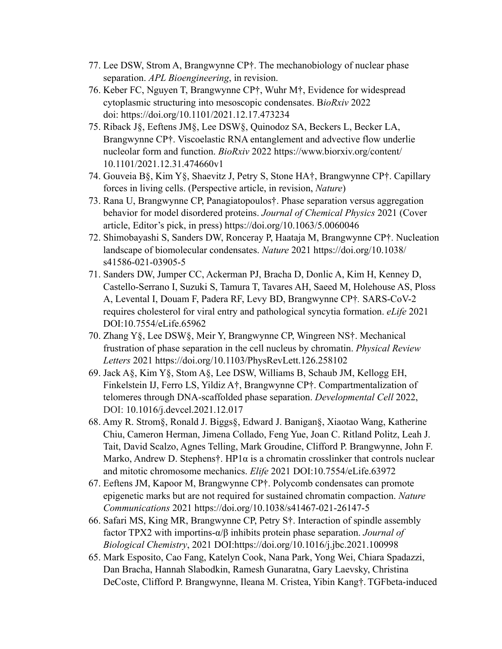- 77. Lee DSW, Strom A, Brangwynne CP†. The mechanobiology of nuclear phase separation. *APL Bioengineering*, in revision.
- 76. Keber FC, Nguyen T, Brangwynne CP†, Wuhr M†, Evidence for widespread cytoplasmic structuring into mesoscopic condensates. B*ioRxiv* 2022 doi: https://doi.org/10.1101/2021.12.17.473234
- 75. Riback J§, Eeftens JM§, Lee DSW§, Quinodoz SA, Beckers L, Becker LA, Brangwynne CP†. Viscoelastic RNA entanglement and advective flow underlie nucleolar form and function. *BioRxiv* 2022 https://www.biorxiv.org/content/ 10.1101/2021.12.31.474660v1
- 74. Gouveia B§, Kim Y§, Shaevitz J, Petry S, Stone HA†, Brangwynne CP†. Capillary forces in living cells. (Perspective article, in revision, *Nature*)
- 73. Rana U, Brangwynne CP, Panagiatopoulos†. Phase separation versus aggregation behavior for model disordered proteins. *Journal of Chemical Physics* 2021 (Cover article, Editor's pick, in press) https://doi.org/10.1063/5.0060046
- 72. Shimobayashi S, Sanders DW, Ronceray P, Haataja M, Brangwynne CP†. Nucleation landscape of biomolecular condensates. *Nature* 2021 https://doi.org/10.1038/ s41586-021-03905-5
- 71. Sanders DW, Jumper CC, Ackerman PJ, Bracha D, Donlic A, Kim H, Kenney D, Castello-Serrano I, Suzuki S, Tamura T, Tavares AH, Saeed M, Holehouse AS, Ploss A, Levental I, Douam F, Padera RF, Levy BD, Brangwynne CP†*.* SARS-CoV-2 requires cholesterol for viral entry and pathological syncytia formation. *eLife* 2021 DOI:10.7554/eLife.65962
- 70. Zhang Y§, Lee DSW§, Meir Y, Brangwynne CP, Wingreen NS†. Mechanical frustration of phase separation in the cell nucleus by chromatin. *Physical Review Letters* 2021 https://doi.org/10.1103/PhysRevLett.126.258102
- 69. Jack A§, Kim Y§, Stom A§, Lee DSW, Williams B, Schaub JM, Kellogg EH, Finkelstein IJ, Ferro LS, Yildiz A†, Brangwynne CP†. Compartmentalization of telomeres through DNA-scaffolded phase separation. *Developmental Cell* 2022, DOI: 10.1016/j.devcel.2021.12.017
- 68. Amy R. Strom§, Ronald J. Biggs§, Edward J. Banigan§, Xiaotao Wang, Katherine Chiu, Cameron Herman, Jimena Collado, Feng Yue, Joan C. Ritland Politz, Leah J. Tait, David Scalzo, Agnes Telling, Mark Groudine, Clifford P. Brangwynne, John F. Marko, Andrew D. Stephens†. HP1 $\alpha$  is a chromatin crosslinker that controls nuclear and mitotic chromosome mechanics. *Elife* 2021 DOI:10.7554/eLife.63972
- 67. Eeftens JM, Kapoor M, Brangwynne CP†. Polycomb condensates can promote epigenetic marks but are not required for sustained chromatin compaction. *Nature Communications* 2021 https://doi.org/10.1038/s41467-021-26147-5
- 66. Safari MS, King MR, Brangwynne CP, Petry S†. Interaction of spindle assembly factor TPX2 with importins-α/β inhibits protein phase separation. *Journal of Biological Chemistry*, 2021 DOI:https://doi.org/10.1016/j.jbc.2021.100998
- 65. Mark Esposito, Cao Fang, Katelyn Cook, Nana Park, Yong Wei, Chiara Spadazzi, Dan Bracha, Hannah Slabodkin, Ramesh Gunaratna, Gary Laevsky, Christina DeCoste, Clifford P. Brangwynne, Ileana M. Cristea, Yibin Kang†. TGFbeta-induced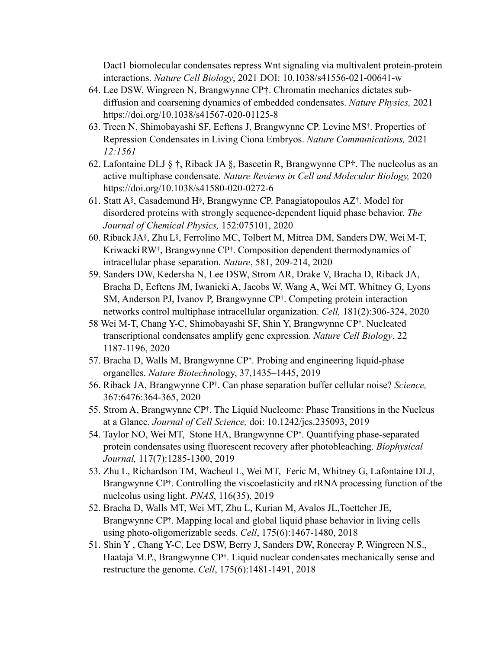Dact1 biomolecular condensates repress Wnt signaling via multivalent protein-protein interactions. *Nature Cell Biology*, 2021 DOI: 10.1038/s41556-021-00641-w

- 64. Lee DSW, Wingreen N, Brangwynne CP†. Chromatin mechanics dictates subdiffusion and coarsening dynamics of embedded condensates. *Nature Physics,* 2021 https://doi.org/10.1038/s41567-020-01125-8
- 63. Treen N, Shimobayashi SF, Eeftens J, Brangwynne CP. Levine MS†. Properties of Repression Condensates in Living Ciona Embryos. *Nature Communications,* 2021 *12:1561*
- 62. Lafontaine DLJ § †, Riback JA §, Bascetin R, Brangwynne CP†. The nucleolus as an active multiphase condensate. *Nature Reviews in Cell and Molecular Biology,* 2020 https://doi.org/10.1038/s41580-020-0272-6
- 61. Statt A§, Casademund H§, Brangwynne CP. Panagiatopoulos AZ†. Model for disordered proteins with strongly sequence-dependent liquid phase behavior. *The Journal of Chemical Physics,* 152:075101, 2020
- 60. Riback JA§, Zhu L§, Ferrolino MC, Tolbert M, Mitrea DM, Sanders DW, Wei M-T, Kriwacki RW<sup>†</sup>, Brangwynne CP<sup>†</sup>. Composition dependent thermodynamics of intracellular phase separation. *Nature*, 581, 209-214, 2020
- 59. Sanders DW, Kedersha N, Lee DSW, Strom AR, Drake V, Bracha D, Riback JA, Bracha D, Eeftens JM, Iwanicki A, Jacobs W, Wang A, Wei MT, Whitney G, Lyons SM, Anderson PJ, Ivanov P, Brangwynne CP†. Competing protein interaction networks control multiphase intracellular organization. *Cell,* 181(2):306-324, 2020
- 58 Wei M-T, Chang Y-C, Shimobayashi SF, Shin Y, Brangwynne CP†. Nucleated transcriptional condensates amplify gene expression. *Nature Cell Biology*, 22 1187-1196, 2020
- 57. Bracha D, Walls M, Brangwynne CP†. Probing and engineering liquid-phase organelles. *Nature Biotechno*logy, 37,1435–1445, 2019
- 56. Riback JA, Brangwynne CP†. Can phase separation buffer cellular noise? *Science,*  367:6476:364-365, 2020
- 55. Strom A, Brangwynne CP†. The Liquid Nucleome: Phase Transitions in the Nucleus at a Glance. *Journal of Cell Science,* doi: 10.1242/jcs.235093, 2019
- 54. Taylor NO, Wei MT, Stone HA, Brangwynne CP†. Quantifying phase-separated protein condensates using fluorescent recovery after photobleaching. *Biophysical Journal,* 117(7):1285-1300, 2019
- 53. Zhu L, Richardson TM, Wacheul L, Wei MT, Feric M, Whitney G, Lafontaine DLJ, Brangwynne CP†. Controlling the viscoelasticity and rRNA processing function of the nucleolus using light. *PNAS*, 116(35), 2019
- 52. Bracha D, Walls MT, Wei MT, Zhu L, Kurian M, Avalos JL,Toettcher JE, Brangwynne CP<sup>†</sup>. Mapping local and global liquid phase behavior in living cells using photo-oligomerizable seeds. *Cell*, 175(6):1467-1480, 2018
- 51. Shin Y , Chang Y-C, Lee DSW, Berry J, Sanders DW, Ronceray P, Wingreen N.S., Haataja M.P., Brangwynne CP†. Liquid nuclear condensates mechanically sense and restructure the genome. *Cell*, 175(6):1481-1491, 2018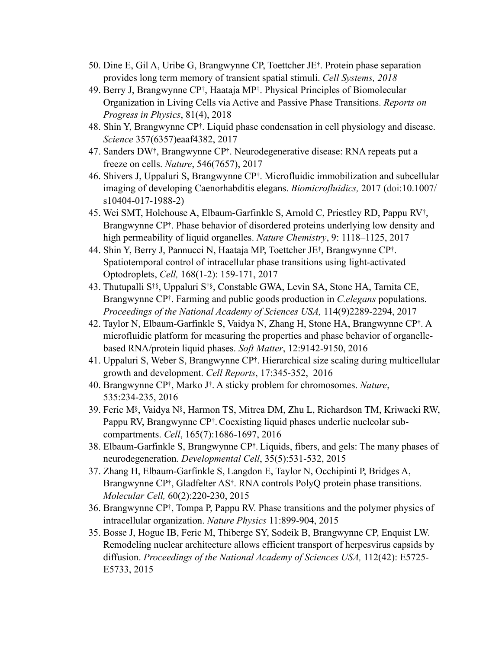- 50. Dine E, Gil A, Uribe G, Brangwynne CP, Toettcher JE†. Protein phase separation provides long term memory of transient spatial stimuli. *Cell Systems, 2018*
- 49. Berry J, Brangwynne CP†, Haataja MP†. Physical Principles of Biomolecular Organization in Living Cells via Active and Passive Phase Transitions. *Reports on Progress in Physics*, 81(4), 2018
- 48. Shin Y, Brangwynne CP†. Liquid phase condensation in cell physiology and disease. *Science* 357(6357)eaaf4382, 2017
- 47. Sanders DW†, Brangwynne CP†. Neurodegenerative disease: RNA repeats put a freeze on cells. *Nature*, 546(7657), 2017
- 46. Shivers J, Uppaluri S, Brangwynne CP†. Microfluidic immobilization and subcellular imaging of developing Caenorhabditis elegans. *Biomicrofluidics,* 2017 (doi:10.1007/ s10404-017-1988-2)
- 45. Wei SMT, Holehouse A, Elbaum-Garfinkle S, Arnold C, Priestley RD, Pappu RV†, Brangwynne CP†. Phase behavior of disordered proteins underlying low density and high permeability of liquid organelles. *Nature Chemistry*, 9: 1118–1125, 2017
- 44. Shin Y, Berry J, Pannucci N, Haataja MP, Toettcher JE†, Brangwynne CP†. Spatiotemporal control of intracellular phase transitions using light-activated Optodroplets, *Cell,* 168(1-2): 159-171, 2017
- 43. Thutupalli S†§, Uppaluri S†§, Constable GWA, Levin SA, Stone HA, Tarnita CE, Brangwynne CP†. Farming and public goods production in *C.elegans* populations. *Proceedings of the National Academy of Sciences USA,* 114(9)2289-2294, 2017
- 42. Taylor N, Elbaum-Garfinkle S, Vaidya N, Zhang H, Stone HA, Brangwynne CP†. A microfluidic platform for measuring the properties and phase behavior of organellebased RNA/protein liquid phases. *Soft Matter*, 12:9142-9150, 2016
- 41. Uppaluri S, Weber S, Brangwynne CP†. Hierarchical size scaling during multicellular growth and development. *Cell Reports*, 17:345-352, 2016
- 40. Brangwynne CP†, Marko J†. A sticky problem for chromosomes. *Nature*, 535:234-235, 2016
- 39. Feric M§, Vaidya N§, Harmon TS, Mitrea DM, Zhu L, Richardson TM, Kriwacki RW, Pappu RV, Brangwynne CP†.Coexisting liquid phases underlie nucleolar subcompartments. *Cell*, 165(7):1686-1697, 2016
- 38. Elbaum-Garfinkle S, Brangwynne CP†. Liquids, fibers, and gels: The many phases of neurodegeneration. *Developmental Cell*, 35(5):531-532, 2015
- 37. Zhang H, Elbaum-Garfinkle S, Langdon E, Taylor N, Occhipinti P, Bridges A, Brangwynne CP†, Gladfelter AS†. RNA controls PolyQ protein phase transitions. *Molecular Cell,* 60(2):220-230, 2015
- 36. Brangwynne CP†, Tompa P, Pappu RV. Phase transitions and the polymer physics of intracellular organization. *Nature Physics* 11:899-904, 2015
- 35. Bosse J, Hogue IB, Feric M, Thiberge SY, Sodeik B, Brangwynne CP, Enquist LW. Remodeling nuclear architecture allows efficient transport of herpesvirus capsids by diffusion. *Proceedings of the National Academy of Sciences USA,* 112(42): E5725- E5733, 2015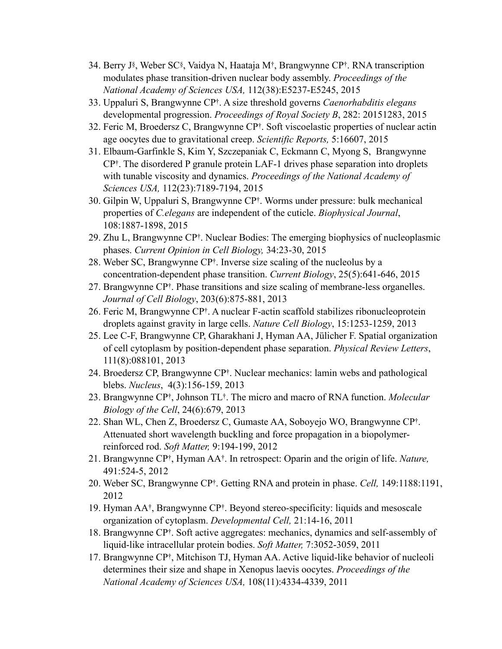- 34. Berry J§, Weber SC§, Vaidya N, Haataja M†, Brangwynne CP†. RNA transcription modulates phase transition-driven nuclear body assembly. *Proceedings of the National Academy of Sciences USA,* 112(38):E5237-E5245, 2015
- 33. Uppaluri S, Brangwynne CP†. A size threshold governs *Caenorhabditis elegans*  developmental progression. *Proceedings of Royal Society B*, 282: 20151283, 2015
- 32. Feric M, Broedersz C, Brangwynne CP†. Soft viscoelastic properties of nuclear actin age oocytes due to gravitational creep. *Scientific Reports,* 5:16607, 2015
- 31. Elbaum-Garfinkle S, Kim Y, Szczepaniak C, Eckmann C, Myong S, Brangwynne CP†. The disordered P granule protein LAF-1 drives phase separation into droplets with tunable viscosity and dynamics. *Proceedings of the National Academy of Sciences USA,* 112(23):7189-7194, 2015
- 30. Gilpin W, Uppaluri S, Brangwynne CP†. Worms under pressure: bulk mechanical properties of *C.elegans* are independent of the cuticle. *Biophysical Journal*, 108:1887-1898, 2015
- 29. Zhu L, Brangwynne CP†. Nuclear Bodies: The emerging biophysics of nucleoplasmic phases. *Current Opinion in Cell Biology,* 34:23-30, 2015
- 28. Weber SC, Brangwynne CP†. Inverse size scaling of the nucleolus by a concentration-dependent phase transition. *Current Biology*, 25(5):641-646, 2015
- 27. Brangwynne CP†. Phase transitions and size scaling of membrane-less organelles. *Journal of Cell Biology*, 203(6):875-881, 2013
- 26. Feric M, Brangwynne CP†. A nuclear F-actin scaffold stabilizes ribonucleoprotein droplets against gravity in large cells. *Nature Cell Biology*, 15:1253-1259, 2013
- 25. Lee C-F, Brangwynne CP, Gharakhani J, Hyman AA, Jülicher F. Spatial organization of cell cytoplasm by position-dependent phase separation. *Physical Review Letters*, 111(8):088101, 2013
- 24. Broedersz CP, Brangwynne CP†. Nuclear mechanics: lamin webs and pathological blebs. *Nucleus*, 4(3):156-159, 2013
- 23. Brangwynne CP†, Johnson TL†. The micro and macro of RNA function. *Molecular Biology of the Cell*, 24(6):679, 2013
- 22. Shan WL, Chen Z, Broedersz C, Gumaste AA, Soboyejo WO, Brangwynne CP†. Attenuated short wavelength buckling and force propagation in a biopolymerreinforced rod. *Soft Matter,* 9:194-199, 2012
- 21. Brangwynne CP†, Hyman AA†. In retrospect: Oparin and the origin of life. *Nature,*  491:524-5, 2012
- 20. Weber SC, Brangwynne CP†. Getting RNA and protein in phase. *Cell,* 149:1188:1191, 2012
- 19. Hyman AA†, Brangwynne CP†. Beyond stereo-specificity: liquids and mesoscale organization of cytoplasm. *Developmental Cell,* 21:14-16, 2011
- 18. Brangwynne CP†. Soft active aggregates: mechanics, dynamics and self-assembly of liquid-like intracellular protein bodies. *Soft Matter,* 7:3052-3059, 2011
- 17. Brangwynne CP†, Mitchison TJ, Hyman AA. Active liquid-like behavior of nucleoli determines their size and shape in Xenopus laevis oocytes. *Proceedings of the National Academy of Sciences USA,* 108(11):4334-4339, 2011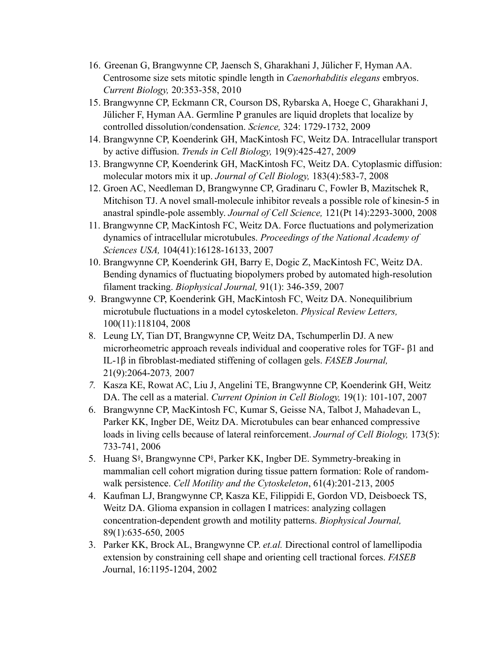- 16. Greenan G, Brangwynne CP, Jaensch S, Gharakhani J, Jülicher F, Hyman AA. Centrosome size sets mitotic spindle length in *Caenorhabditis elegans* embryos. *Current Biology,* 20:353-358, 2010
- 15. Brangwynne CP, Eckmann CR, Courson DS, Rybarska A, Hoege C, Gharakhani J, Jülicher F, Hyman AA. Germline P granules are liquid droplets that localize by controlled dissolution/condensation. *Science,* 324: 1729-1732, 2009
- 14. Brangwynne CP, Koenderink GH, MacKintosh FC, Weitz DA. Intracellular transport by active diffusion. *Trends in Cell Biology,* 19(9):425-427, 2009
- 13. Brangwynne CP, Koenderink GH, MacKintosh FC, Weitz DA. Cytoplasmic diffusion: molecular motors mix it up. *Journal of Cell Biology,* 183(4):583-7, 2008
- 12. Groen AC, Needleman D, Brangwynne CP, Gradinaru C, Fowler B, Mazitschek R, Mitchison TJ. A novel small-molecule inhibitor reveals a possible role of kinesin-5 in anastral spindle-pole assembly. *Journal of Cell Science,* 121(Pt 14):2293-3000, 2008
- 11. Brangwynne CP, MacKintosh FC, Weitz DA. Force fluctuations and polymerization dynamics of intracellular microtubules. *Proceedings of the National Academy of Sciences USA,* 104(41):16128-16133, 2007
- 10. Brangwynne CP, Koenderink GH, Barry E, Dogic Z, MacKintosh FC, Weitz DA. Bending dynamics of fluctuating biopolymers probed by automated high-resolution filament tracking. *Biophysical Journal,* 91(1): 346-359, 2007
- 9. Brangwynne CP, Koenderink GH, MacKintosh FC, Weitz DA. Nonequilibrium microtubule fluctuations in a model cytoskeleton. *Physical Review Letters,*  100(11):118104, 2008
- 8. Leung LY, Tian DT, Brangwynne CP, Weitz DA, Tschumperlin DJ. A new microrheometric approach reveals individual and cooperative roles for TGF- β1 and IL-1β in fibroblast-mediated stiffening of collagen gels. *FASEB Journal,*  21(9):2064-2073*,* 2007
- *7.* Kasza KE, Rowat AC, Liu J, Angelini TE, Brangwynne CP, Koenderink GH, Weitz DA. The cell as a material. *Current Opinion in Cell Biology,* 19(1): 101-107, 2007
- 6. Brangwynne CP, MacKintosh FC, Kumar S, Geisse NA, Talbot J, Mahadevan L, Parker KK, Ingber DE, Weitz DA. Microtubules can bear enhanced compressive loads in living cells because of lateral reinforcement. *Journal of Cell Biology,* 173(5): 733-741, 2006
- 5. Huang S§, Brangwynne CP§, Parker KK, Ingber DE. Symmetry-breaking in mammalian cell cohort migration during tissue pattern formation: Role of randomwalk persistence. *Cell Motility and the Cytoskeleton*, 61(4):201-213, 2005
- 4. Kaufman LJ, Brangwynne CP, Kasza KE, Filippidi E, Gordon VD, Deisboeck TS, Weitz DA. Glioma expansion in collagen I matrices: analyzing collagen concentration-dependent growth and motility patterns. *Biophysical Journal,*  89(1):635-650, 2005
- 3. Parker KK, Brock AL, Brangwynne CP. *et.al.* Directional control of lamellipodia extension by constraining cell shape and orienting cell tractional forces. *FASEB J*ournal, 16:1195-1204, 2002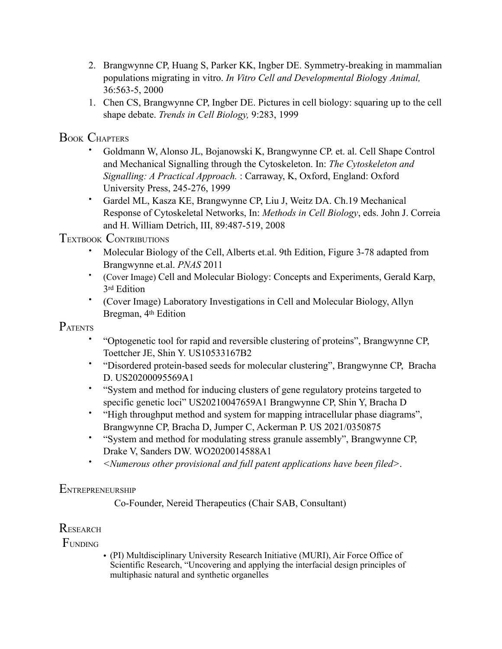- 2. Brangwynne CP, Huang S, Parker KK, Ingber DE. Symmetry-breaking in mammalian populations migrating in vitro. *In Vitro Cell and Developmental Biol*ogy *Animal,*  36:563-5, 2000
- 1. Chen CS, Brangwynne CP, Ingber DE. Pictures in cell biology: squaring up to the cell shape debate. *Trends in Cell Biology,* 9:283, 1999

## BOOK CHAPTERS

- Goldmann W, Alonso JL, Bojanowski K, Brangwynne CP. et. al. Cell Shape Control and Mechanical Signalling through the Cytoskeleton. In: *The Cytoskeleton and Signalling: A Practical Approach.* : Carraway, K, Oxford, England: Oxford University Press, 245-276, 1999
- Gardel ML, Kasza KE, Brangwynne CP, Liu J, Weitz DA. Ch.19 Mechanical Response of Cytoskeletal Networks, In: *Methods in Cell Biology*, eds. John J. Correia and H. William Detrich, III, 89:487-519, 2008

## TEXTBOOK CONTRIBUTIONS

- Molecular Biology of the Cell, Alberts et.al. 9th Edition, Figure 3-78 adapted from Brangwynne et.al. *PNAS* 2011
- (Cover Image) Cell and Molecular Biology: Concepts and Experiments, Gerald Karp, 3rd Edition
- (Cover Image) Laboratory Investigations in Cell and Molecular Biology, Allyn Bregman, 4th Edition

# PATENTS

- "Optogenetic tool for rapid and reversible clustering of proteins", Brangwynne CP, Toettcher JE, Shin Y. US10533167B2
- "Disordered protein-based seeds for molecular clustering", Brangwynne CP, Bracha D. US20200095569A1
- "System and method for inducing clusters of gene regulatory proteins targeted to specific genetic loci" US20210047659A1 Brangwynne CP, Shin Y, Bracha D
- "High throughput method and system for mapping intracellular phase diagrams", Brangwynne CP, Bracha D, Jumper C, Ackerman P. US 2021/0350875
- "System and method for modulating stress granule assembly", Brangwynne CP, Drake V, Sanders DW. WO2020014588A1
- *<Numerous other provisional and full patent applications have been filed>*.

### **ENTREPRENEURSHIP**

Co-Founder, Nereid Therapeutics (Chair SAB, Consultant)

## **RESEARCH**

**FUNDING** 

• (PI) Multdisciplinary University Research Initiative (MURI), Air Force Office of Scientific Research, "Uncovering and applying the interfacial design principles of multiphasic natural and synthetic organelles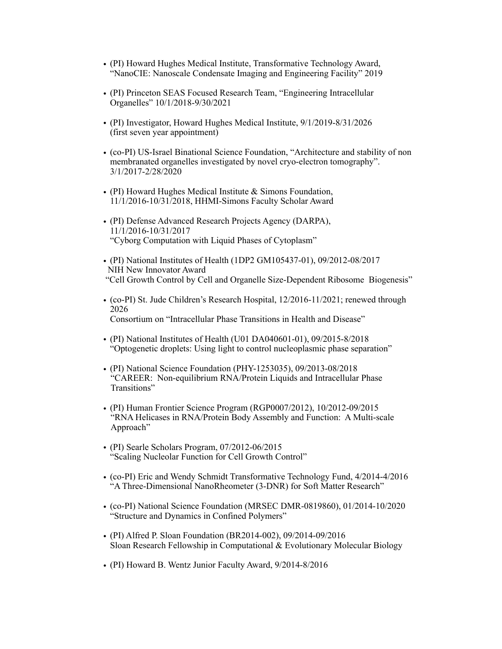- (PI) Howard Hughes Medical Institute, Transformative Technology Award, "NanoCIE: Nanoscale Condensate Imaging and Engineering Facility" 2019
- (PI) Princeton SEAS Focused Research Team, "Engineering Intracellular Organelles" 10/1/2018-9/30/2021
- (PI) Investigator, Howard Hughes Medical Institute, 9/1/2019-8/31/2026 (first seven year appointment)
- (co-PI) US-Israel Binational Science Foundation, "Architecture and stability of non membranated organelles investigated by novel cryo-electron tomography". 3/1/2017-2/28/2020
- (PI) Howard Hughes Medical Institute & Simons Foundation, 11/1/2016-10/31/2018, HHMI-Simons Faculty Scholar Award
- (PI) Defense Advanced Research Projects Agency (DARPA), 11/1/2016-10/31/2017 "Cyborg Computation with Liquid Phases of Cytoplasm"
- (PI) National Institutes of Health (1DP2 GM105437-01), 09/2012-08/2017 NIH New Innovator Award "Cell Growth Control by Cell and Organelle Size-Dependent Ribosome Biogenesis"
- (co-PI) St. Jude Children's Research Hospital, 12/2016-11/2021; renewed through 2026 Consortium on "Intracellular Phase Transitions in Health and Disease"
- (PI) National Institutes of Health (U01 DA040601-01), 09/2015-8/2018 "Optogenetic droplets: Using light to control nucleoplasmic phase separation"
- (PI) National Science Foundation (PHY-1253035), 09/2013-08/2018 "CAREER: Non-equilibrium RNA/Protein Liquids and Intracellular Phase Transitions"
- (PI) Human Frontier Science Program (RGP0007/2012), 10/2012-09/2015 "RNA Helicases in RNA/Protein Body Assembly and Function: A Multi-scale Approach"
- (PI) Searle Scholars Program, 07/2012-06/2015 "Scaling Nucleolar Function for Cell Growth Control"
- (co-PI) Eric and Wendy Schmidt Transformative Technology Fund, 4/2014-4/2016 "A Three-Dimensional NanoRheometer (3-DNR) for Soft Matter Research"
- (co-PI) National Science Foundation (MRSEC DMR-0819860), 01/2014-10/2020 "Structure and Dynamics in Confined Polymers"
- (PI) Alfred P. Sloan Foundation (BR2014-002), 09/2014-09/2016 Sloan Research Fellowship in Computational & Evolutionary Molecular Biology
- (PI) Howard B. Wentz Junior Faculty Award, 9/2014-8/2016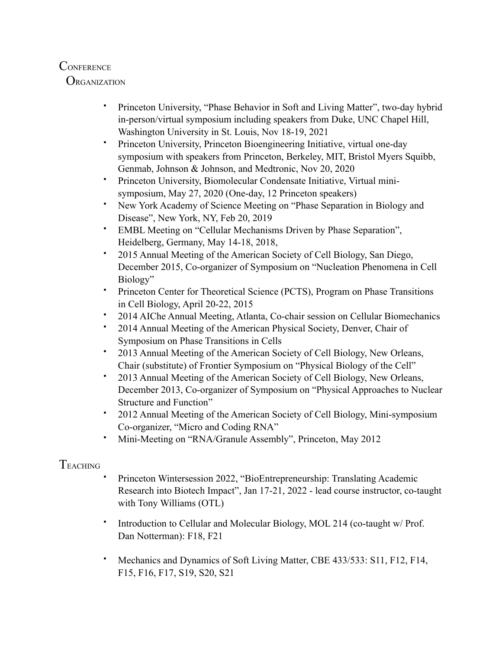## **CONFERENCE**

**ORGANIZATION** 

- Princeton University, "Phase Behavior in Soft and Living Matter", two-day hybrid in-person/virtual symposium including speakers from Duke, UNC Chapel Hill, Washington University in St. Louis, Nov 18-19, 2021
- Princeton University, Princeton Bioengineering Initiative, virtual one-day symposium with speakers from Princeton, Berkeley, MIT, Bristol Myers Squibb, Genmab, Johnson & Johnson, and Medtronic, Nov 20, 2020
- Princeton University, Biomolecular Condensate Initiative, Virtual minisymposium, May 27, 2020 (One-day, 12 Princeton speakers)
- New York Academy of Science Meeting on "Phase Separation in Biology and Disease", New York, NY, Feb 20, 2019
- EMBL Meeting on "Cellular Mechanisms Driven by Phase Separation", Heidelberg, Germany, May 14-18, 2018,
- 2015 Annual Meeting of the American Society of Cell Biology, San Diego, December 2015, Co-organizer of Symposium on "Nucleation Phenomena in Cell Biology"
- Princeton Center for Theoretical Science (PCTS), Program on Phase Transitions in Cell Biology, April 20-22, 2015
- 2014 AIChe Annual Meeting, Atlanta, Co-chair session on Cellular Biomechanics
- 2014 Annual Meeting of the American Physical Society, Denver, Chair of Symposium on Phase Transitions in Cells
- 2013 Annual Meeting of the American Society of Cell Biology, New Orleans, Chair (substitute) of Frontier Symposium on "Physical Biology of the Cell"
- 2013 Annual Meeting of the American Society of Cell Biology, New Orleans, December 2013, Co-organizer of Symposium on "Physical Approaches to Nuclear Structure and Function"
- 2012 Annual Meeting of the American Society of Cell Biology, Mini-symposium Co-organizer, "Micro and Coding RNA"
- Mini-Meeting on "RNA/Granule Assembly", Princeton, May 2012

# **TEACHING**

- Princeton Wintersession 2022, "BioEntrepreneurship: Translating Academic Research into Biotech Impact", Jan 17-21, 2022 - lead course instructor, co-taught with Tony Williams (OTL)
- Introduction to Cellular and Molecular Biology, MOL 214 (co-taught w/ Prof. Dan Notterman): F18, F21
- Mechanics and Dynamics of Soft Living Matter, CBE 433/533: S11, F12, F14, F15, F16, F17, S19, S20, S21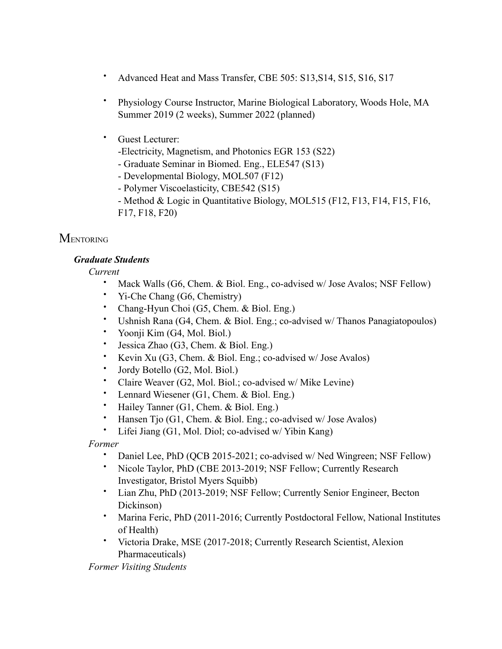- Advanced Heat and Mass Transfer, CBE 505: S13,S14, S15, S16, S17
- Physiology Course Instructor, Marine Biological Laboratory, Woods Hole, MA Summer 2019 (2 weeks), Summer 2022 (planned)
- Guest Lecturer:
	- -Electricity, Magnetism, and Photonics EGR 153 (S22)
	- Graduate Seminar in Biomed. Eng., ELE547 (S13)
	- Developmental Biology, MOL507 (F12)
	- Polymer Viscoelasticity, CBE542 (S15)
	- Method & Logic in Quantitative Biology, MOL515 (F12, F13, F14, F15, F16, F17, F18, F20)

## **MENTORING**

#### *Graduate Students*

*Current* 

- Mack Walls (G6, Chem. & Biol. Eng., co-advised w/ Jose Avalos; NSF Fellow)
- Yi-Che Chang (G6, Chemistry)
- Chang-Hyun Choi (G5, Chem. & Biol. Eng.)
- Ushnish Rana (G4, Chem. & Biol. Eng.; co-advised w/ Thanos Panagiatopoulos)
- Yoonji Kim (G4, Mol. Biol.)
- Jessica Zhao (G3, Chem. & Biol. Eng.)
- Kevin Xu (G3, Chem. & Biol. Eng.; co-advised w/ Jose Avalos)
- Jordy Botello (G2, Mol. Biol.)
- Claire Weaver (G2, Mol. Biol.; co-advised w/ Mike Levine)
- Lennard Wiesener (G1, Chem. & Biol. Eng.)
- Hailey Tanner (G1, Chem. & Biol. Eng.)
- Hansen Tjo (G1, Chem. & Biol. Eng.; co-advised w/ Jose Avalos)
- Lifei Jiang (G1, Mol. Diol; co-advised w/ Yibin Kang)

 *Former* 

- Daniel Lee, PhD (QCB 2015-2021; co-advised w/ Ned Wingreen; NSF Fellow)
- Nicole Taylor, PhD (CBE 2013-2019; NSF Fellow; Currently Research Investigator, Bristol Myers Squibb)
- Lian Zhu, PhD (2013-2019; NSF Fellow; Currently Senior Engineer, Becton Dickinson)
- Marina Feric, PhD (2011-2016; Currently Postdoctoral Fellow, National Institutes of Health)
- Victoria Drake, MSE (2017-2018; Currently Research Scientist, Alexion Pharmaceuticals)

*Former Visiting Students*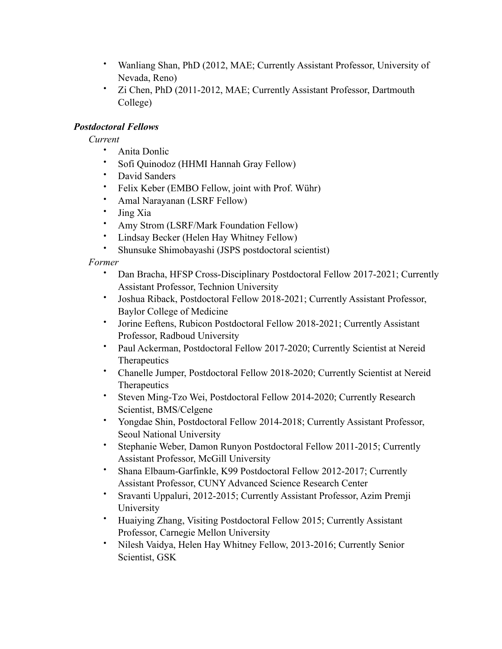- Wanliang Shan, PhD (2012, MAE; Currently Assistant Professor, University of Nevada, Reno)
- Zi Chen, PhD (2011-2012, MAE; Currently Assistant Professor, Dartmouth College)

### *Postdoctoral Fellows*

*Current*

- Anita Donlic
- Sofi Quinodoz (HHMI Hannah Gray Fellow)
- David Sanders
- Felix Keber (EMBO Fellow, joint with Prof. Wühr)
- Amal Narayanan (LSRF Fellow)
- Jing Xia
- Amy Strom (LSRF/Mark Foundation Fellow)
- Lindsay Becker (Helen Hay Whitney Fellow)
- Shunsuke Shimobayashi (JSPS postdoctoral scientist)

#### *Former*

- Dan Bracha, HFSP Cross-Disciplinary Postdoctoral Fellow 2017-2021; Currently Assistant Professor, Technion University
- Joshua Riback, Postdoctoral Fellow 2018-2021; Currently Assistant Professor, Baylor College of Medicine
- Jorine Eeftens, Rubicon Postdoctoral Fellow 2018-2021; Currently Assistant Professor, Radboud University
- Paul Ackerman, Postdoctoral Fellow 2017-2020; Currently Scientist at Nereid **Therapeutics**
- Chanelle Jumper, Postdoctoral Fellow 2018-2020; Currently Scientist at Nereid **Therapeutics**
- Steven Ming-Tzo Wei, Postdoctoral Fellow 2014-2020; Currently Research Scientist, BMS/Celgene
- Yongdae Shin, Postdoctoral Fellow 2014-2018; Currently Assistant Professor, Seoul National University
- Stephanie Weber, Damon Runyon Postdoctoral Fellow 2011-2015; Currently Assistant Professor, McGill University
- Shana Elbaum-Garfinkle, K99 Postdoctoral Fellow 2012-2017; Currently Assistant Professor, CUNY Advanced Science Research Center
- Sravanti Uppaluri, 2012-2015; Currently Assistant Professor, Azim Premji University
- Huaiying Zhang, Visiting Postdoctoral Fellow 2015; Currently Assistant Professor, Carnegie Mellon University
- Nilesh Vaidya, Helen Hay Whitney Fellow, 2013-2016; Currently Senior Scientist, GSK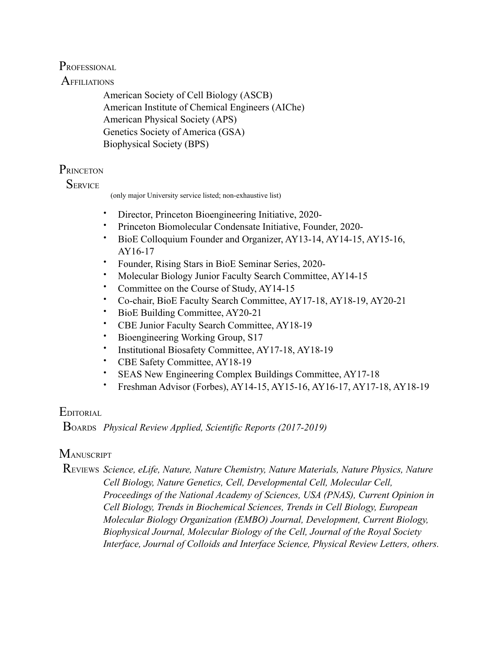## PROFESSIONAL

## **AFFILIATIONS**

 American Society of Cell Biology (ASCB) American Institute of Chemical Engineers (AIChe) American Physical Society (APS) Genetics Society of America (GSA) Biophysical Society (BPS)

## **PRINCETON**

## **SERVICE**

(only major University service listed; non-exhaustive list)

- Director, Princeton Bioengineering Initiative, 2020-
- Princeton Biomolecular Condensate Initiative, Founder, 2020-
- BioE Colloquium Founder and Organizer, AY13-14, AY14-15, AY15-16, AY16-17
- Founder, Rising Stars in BioE Seminar Series, 2020-
- Molecular Biology Junior Faculty Search Committee, AY14-15
- Committee on the Course of Study, AY14-15
- Co-chair, BioE Faculty Search Committee, AY17-18, AY18-19, AY20-21
- BioE Building Committee, AY20-21
- CBE Junior Faculty Search Committee, AY18-19
- Bioengineering Working Group, S17
- Institutional Biosafety Committee, AY17-18, AY18-19
- CBE Safety Committee, AY18-19
- SEAS New Engineering Complex Buildings Committee, AY17-18
- Freshman Advisor (Forbes), AY14-15, AY15-16, AY16-17, AY17-18, AY18-19

## **EDITORIAL**

BOARDS *Physical Review Applied, Scientific Reports (2017-2019)*

## **MANUSCRIPT**

 REVIEWS *Science, eLife, Nature, Nature Chemistry, Nature Materials, Nature Physics, Nature Cell Biology, Nature Genetics, Cell, Developmental Cell, Molecular Cell, Proceedings of the National Academy of Sciences, USA (PNAS), Current Opinion in Cell Biology, Trends in Biochemical Sciences, Trends in Cell Biology, European Molecular Biology Organization (EMBO) Journal, Development, Current Biology, Biophysical Journal, Molecular Biology of the Cell, Journal of the Royal Society Interface, Journal of Colloids and Interface Science, Physical Review Letters, others.*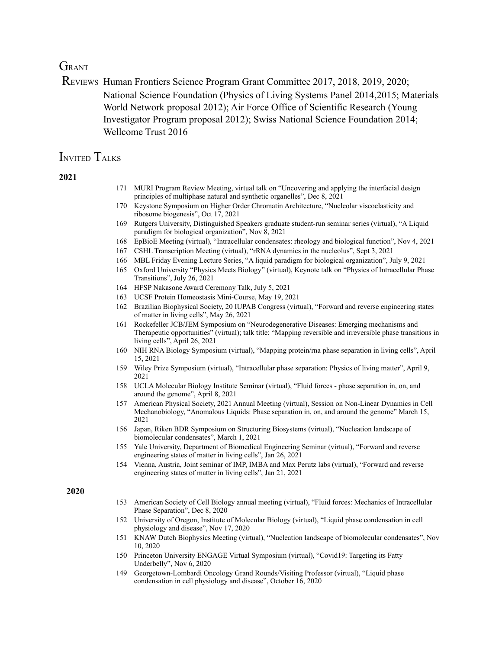## **GRANT**

REVIEWS Human Frontiers Science Program Grant Committee 2017, 2018, 2019, 2020; National Science Foundation (Physics of Living Systems Panel 2014,2015; Materials World Network proposal 2012); Air Force Office of Scientific Research (Young Investigator Program proposal 2012); Swiss National Science Foundation 2014; Wellcome Trust 2016

### INVITED TALKS

#### **2021**

- 171 MURI Program Review Meeting, virtual talk on "Uncovering and applying the interfacial design principles of multiphase natural and synthetic organelles", Dec 8, 2021
- 170 Keystone Symposium on Higher Order Chromatin Architecture, "Nucleolar viscoelasticity and ribosome biogenesis", Oct 17, 2021
- 169 Rutgers University, Distinguished Speakers graduate student-run seminar series (virtual), "A Liquid paradigm for biological organization", Nov 8, 2021
- 168 EpBioE Meeting (virtual), "Intracellular condensates: rheology and biological function", Nov 4, 2021
- 167 CSHL Transcription Meeting (virtual), "rRNA dynamics in the nucleolus", Sept 3, 2021
- 166 MBL Friday Evening Lecture Series, "A liquid paradigm for biological organization", July 9, 2021
- 165 Oxford University "Physics Meets Biology" (virtual), Keynote talk on "Physics of Intracellular Phase Transitions", July 26, 2021
- 164 HFSP Nakasone Award Ceremony Talk, July 5, 2021
- 163 UCSF Protein Homeostasis Mini-Course, May 19, 2021
- 162 Brazilian Biophysical Society, 20 IUPAB Congress (virtual), "Forward and reverse engineering states of matter in living cells", May 26, 2021
- 161 Rockefeller JCB/JEM Symposium on "Neurodegenerative Diseases: Emerging mechanisms and Therapeutic opportunities" (virtual); talk title: "Mapping reversible and irreversible phase transitions in living cells", April 26, 2021
- 160 NIH RNA Biology Symposium (virtual), "Mapping protein/rna phase separation in living cells", April 15, 2021
- 159 Wiley Prize Symposium (virtual), "Intracellular phase separation: Physics of living matter", April 9, 2021
- 158 UCLA Molecular Biology Institute Seminar (virtual), "Fluid forces phase separation in, on, and around the genome", April 8, 2021
- 157 American Physical Society, 2021 Annual Meeting (virtual), Session on Non-Linear Dynamics in Cell Mechanobiology, "Anomalous Liquids: Phase separation in, on, and around the genome" March 15, 2021
- 156 Japan, Riken BDR Symposium on Structuring Biosystems (virtual), "Nucleation landscape of biomolecular condensates", March 1, 2021
- 155 Yale University, Department of Biomedical Engineering Seminar (virtual), "Forward and reverse engineering states of matter in living cells", Jan 26, 2021
- 154 Vienna, Austria, Joint seminar of IMP, IMBA and Max Perutz labs (virtual), "Forward and reverse engineering states of matter in living cells", Jan 21, 2021

- 153 American Society of Cell Biology annual meeting (virtual), "Fluid forces: Mechanics of Intracellular Phase Separation", Dec 8, 2020
- 152 University of Oregon, Institute of Molecular Biology (virtual), "Liquid phase condensation in cell physiology and disease", Nov 17, 2020
- 151 KNAW Dutch Biophysics Meeting (virtual), "Nucleation landscape of biomolecular condensates", Nov 10, 2020
- 150 Princeton University ENGAGE Virtual Symposium (virtual), "Covid19: Targeting its Fatty Underbelly", Nov 6, 2020
- 149 Georgetown-Lombardi Oncology Grand Rounds/Visiting Professor (virtual), "Liquid phase condensation in cell physiology and disease", October 16, 2020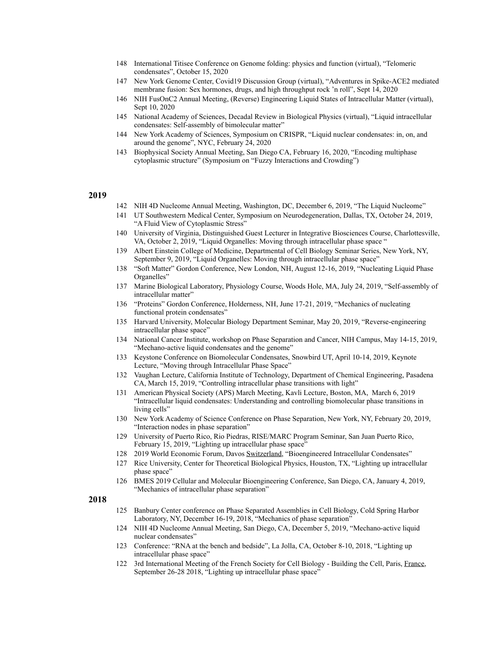- 148 International Titisee Conference on Genome folding: physics and function (virtual), "Telomeric condensates", October 15, 2020
- 147 New York Genome Center, Covid19 Discussion Group (virtual), "Adventures in Spike-ACE2 mediated membrane fusion: Sex hormones, drugs, and high throughput rock 'n roll", Sept 14, 2020
- 146 NIH FusOnC2 Annual Meeting, (Reverse) Engineering Liquid States of Intracellular Matter (virtual), Sept 10, 2020
- 145 National Academy of Sciences, Decadal Review in Biological Physics (virtual), "Liquid intracellular condensates: Self-assembly of bimolecular matter"
- 144 New York Academy of Sciences, Symposium on CRISPR, "Liquid nuclear condensates: in, on, and around the genome", NYC, February 24, 2020
- 143 Biophysical Society Annual Meeting, San Diego CA, February 16, 2020, "Encoding multiphase cytoplasmic structure" (Symposium on "Fuzzy Interactions and Crowding")

- 142 NIH 4D Nucleome Annual Meeting, Washington, DC, December 6, 2019, "The Liquid Nucleome"
- 141 UT Southwestern Medical Center, Symposium on Neurodegeneration, Dallas, TX, October 24, 2019, "A Fluid View of Cytoplasmic Stress"
- 140 University of Virginia, Distinguished Guest Lecturer in Integrative Biosciences Course, Charlottesville, VA, October 2, 2019, "Liquid Organelles: Moving through intracellular phase space "
- 139 Albert Einstein College of Medicine, Departmental of Cell Biology Seminar Series, New York, NY, September 9, 2019, "Liquid Organelles: Moving through intracellular phase space"
- 138 "Soft Matter" Gordon Conference, New London, NH, August 12-16, 2019, "Nucleating Liquid Phase Organelles"
- 137 Marine Biological Laboratory, Physiology Course, Woods Hole, MA, July 24, 2019, "Self-assembly of intracellular matter"
- 136 "Proteins" Gordon Conference, Holderness, NH, June 17-21, 2019, "Mechanics of nucleating functional protein condensates"
- 135 Harvard University, Molecular Biology Department Seminar, May 20, 2019, "Reverse-engineering intracellular phase space"
- 134 National Cancer Institute, workshop on Phase Separation and Cancer, NIH Campus, May 14-15, 2019, "Mechano-active liquid condensates and the genome"
- 133 Keystone Conference on Biomolecular Condensates, Snowbird UT, April 10-14, 2019, Keynote Lecture, "Moving through Intracellular Phase Space"
- 132 Vaughan Lecture, California Institute of Technology, Department of Chemical Engineering, Pasadena CA, March 15, 2019, "Controlling intracellular phase transitions with light"
- 131 American Physical Society (APS) March Meeting, Kavli Lecture, Boston, MA, March 6, 2019 "Intracellular liquid condensates: Understanding and controlling biomolecular phase transitions in living cells"
- 130 New York Academy of Science Conference on Phase Separation, New York, NY, February 20, 2019, "Interaction nodes in phase separation"
- 129 University of Puerto Rico, Rio Piedras, RISE/MARC Program Seminar, San Juan Puerto Rico, February 15, 2019, "Lighting up intracellular phase space"
- 128 2019 World Economic Forum, Davos Switzerland, "Bioengineered Intracellular Condensates"
- 127 Rice University, Center for Theoretical Biological Physics, Houston, TX, "Lighting up intracellular phase space"
- 126 BMES 2019 Cellular and Molecular Bioengineering Conference, San Diego, CA, January 4, 2019, "Mechanics of intracellular phase separation"

- 125 Banbury Center conference on Phase Separated Assemblies in Cell Biology, Cold Spring Harbor Laboratory, NY, December 16-19, 2018, "Mechanics of phase separation"
- 124 NIH 4D Nucleome Annual Meeting, San Diego, CA, December 5, 2019, "Mechano-active liquid nuclear condensates"
- 123 Conference: "RNA at the bench and bedside", La Jolla, CA, October 8-10, 2018, "Lighting up intracellular phase space"
- 122 3rd International Meeting of the French Society for Cell Biology Building the Cell, Paris, France, September 26-28 2018, "Lighting up intracellular phase space"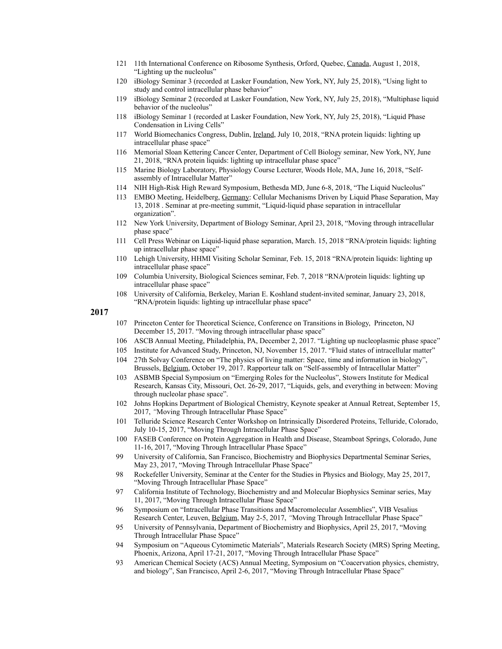- 121 11th International Conference on Ribosome Synthesis, Orford, Quebec, Canada, August 1, 2018, "Lighting up the nucleolus"
- 120 iBiology Seminar 3 (recorded at Lasker Foundation, New York, NY, July 25, 2018), "Using light to study and control intracellular phase behavior"
- 119 iBiology Seminar 2 (recorded at Lasker Foundation, New York, NY, July 25, 2018), "Multiphase liquid behavior of the nucleolus"
- 118 iBiology Seminar 1 (recorded at Lasker Foundation, New York, NY, July 25, 2018), "Liquid Phase Condensation in Living Cells"
- 117 World Biomechanics Congress, Dublin, Ireland, July 10, 2018, "RNA protein liquids: lighting up intracellular phase space"
- 116 Memorial Sloan Kettering Cancer Center, Department of Cell Biology seminar, New York, NY, June 21, 2018, "RNA protein liquids: lighting up intracellular phase space"
- 115 Marine Biology Laboratory, Physiology Course Lecturer, Woods Hole, MA, June 16, 2018, "Selfassembly of Intracellular Matter"
- 114 NIH High-Risk High Reward Symposium, Bethesda MD, June 6-8, 2018, "The Liquid Nucleolus"
- 113 EMBO Meeting, Heidelberg, Germany: Cellular Mechanisms Driven by Liquid Phase Separation, May 13, 2018 . Seminar at pre-meeting summit, "Liquid-liquid phase separation in intracellular organization".
- 112 New York University, Department of Biology Seminar, April 23, 2018, "Moving through intracellular phase space"
- 111 Cell Press Webinar on Liquid-liquid phase separation, March. 15, 2018 "RNA/protein liquids: lighting up intracellular phase space"
- 110 Lehigh University, HHMI Visiting Scholar Seminar, Feb. 15, 2018 "RNA/protein liquids: lighting up intracellular phase space"
- 109 Columbia University, Biological Sciences seminar, Feb. 7, 2018 "RNA/protein liquids: lighting up intracellular phase space"
- 108 University of California, Berkeley, Marian E. Koshland student-invited seminar, January 23, 2018, "RNA/protein liquids: lighting up intracellular phase space"

- 107 Princeton Center for Theoretical Science, Conference on Transitions in Biology, Princeton, NJ December 15, 2017. "Moving through intracellular phase space"
- 106 ASCB Annual Meeting, Philadelphia, PA, December 2, 2017. "Lighting up nucleoplasmic phase space"
- 105 Institute for Advanced Study, Princeton, NJ, November 15, 2017. "Fluid states of intracellular matter"
- 104 27th Solvay Conference on "The physics of living matter: Space, time and information in biology", Brussels, Belgium, October 19, 2017. Rapporteur talk on "Self-assembly of Intracellular Matter"
- 103 ASBMB Special Symposium on "Emerging Roles for the Nucleolus", Stowers Institute for Medical Research, Kansas City, Missouri, Oct. 26-29, 2017, "Liquids, gels, and everything in between: Moving through nucleolar phase space".
- 102 Johns Hopkins Department of Biological Chemistry, Keynote speaker at Annual Retreat, September 15, 2017, *"*Moving Through Intracellular Phase Space"
- 101 Telluride Science Research Center Workshop on Intrinsically Disordered Proteins, Telluride, Colorado, July 10-15, 2017, "Moving Through Intracellular Phase Space"
- 100 FASEB Conference on Protein Aggregation in Health and Disease, Steamboat Springs, Colorado, June 11-16, 2017, "Moving Through Intracellular Phase Space"
- 99 University of California, San Francisco, Biochemistry and Biophysics Departmental Seminar Series, May 23, 2017, "Moving Through Intracellular Phase Space"
- 98 Rockefeller University, Seminar at the Center for the Studies in Physics and Biology, May 25, 2017, "Moving Through Intracellular Phase Space"
- 97 California Institute of Technology, Biochemistry and and Molecular Biophysics Seminar series, May 11, 2017, "Moving Through Intracellular Phase Space"
- 96 Symposium on "Intracellular Phase Transitions and Macromolecular Assemblies", VIB Vesalius Research Center, Leuven, Belgium, May 2-5, 2017, *"*Moving Through Intracellular Phase Space"
- 95 University of Pennsylvania, Department of Biochemistry and Biophysics, April 25, 2017, "Moving Through Intracellular Phase Space"
- 94 Symposium on "Aqueous Cytomimetic Materials", Materials Research Society (MRS) Spring Meeting, Phoenix, Arizona, April 17-21, 2017, "Moving Through Intracellular Phase Space"
- 93 American Chemical Society (ACS) Annual Meeting, Symposium on "Coacervation physics, chemistry, and biology", San Francisco, April 2-6, 2017, "Moving Through Intracellular Phase Space"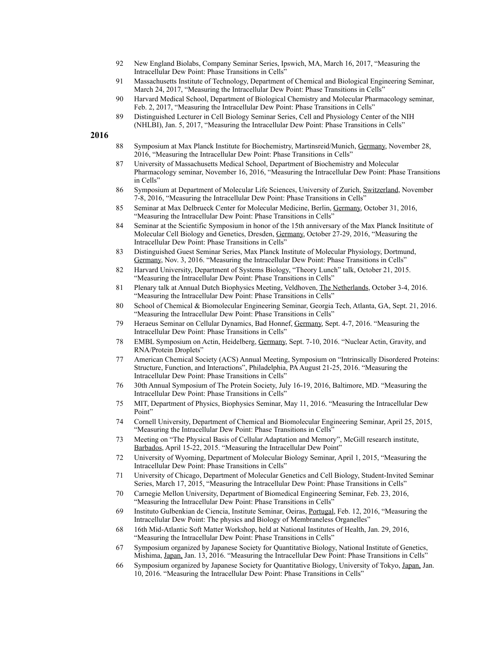- 92 New England Biolabs, Company Seminar Series, Ipswich, MA, March 16, 2017, "Measuring the Intracellular Dew Point: Phase Transitions in Cells"
- 91 Massachusetts Institute of Technology, Department of Chemical and Biological Engineering Seminar, March 24, 2017, "Measuring the Intracellular Dew Point: Phase Transitions in Cells"
- 90 Harvard Medical School, Department of Biological Chemistry and Molecular Pharmacology seminar, Feb. 2, 2017, "Measuring the Intracellular Dew Point: Phase Transitions in Cells"
- 89 Distinguished Lecturer in Cell Biology Seminar Series, Cell and Physiology Center of the NIH (NHLBI), Jan. 5, 2017, "Measuring the Intracellular Dew Point: Phase Transitions in Cells"

- 88 Symposium at Max Planck Institute for Biochemistry, Martinsreid/Munich, Germany, November 28, 2016, "Measuring the Intracellular Dew Point: Phase Transitions in Cells"
- 87 University of Massachusetts Medical School, Department of Biochemistry and Molecular Pharmacology seminar, November 16, 2016, "Measuring the Intracellular Dew Point: Phase Transitions in Cells"
- 86 Symposium at Department of Molecular Life Sciences, University of Zurich, Switzerland, November 7-8, 2016, "Measuring the Intracellular Dew Point: Phase Transitions in Cells"
- 85 Seminar at Max Delbrueck Center for Molecular Medicine, Berlin, Germany, October 31, 2016, "Measuring the Intracellular Dew Point: Phase Transitions in Cells"
- 84 Seminar at the Scientific Symposium in honor of the 15th anniversary of the Max Planck Insititute of Molecular Cell Biology and Genetics, Dresden, Germany, October 27-29, 2016, "Measuring the Intracellular Dew Point: Phase Transitions in Cells"
- 83 Distinguished Guest Seminar Series, Max Planck Institute of Molecular Physiology, Dortmund, Germany, Nov. 3, 2016. "Measuring the Intracellular Dew Point: Phase Transitions in Cells"
- 82 Harvard University, Department of Systems Biology, "Theory Lunch" talk, October 21, 2015. "Measuring the Intracellular Dew Point: Phase Transitions in Cells"
- 81 Plenary talk at Annual Dutch Biophysics Meeting, Veldhoven, The Netherlands, October 3-4, 2016. "Measuring the Intracellular Dew Point: Phase Transitions in Cells"
- 80 School of Chemical & Biomolecular Engineering Seminar, Georgia Tech, Atlanta, GA, Sept. 21, 2016. "Measuring the Intracellular Dew Point: Phase Transitions in Cells"
- 79 Heraeus Seminar on Cellular Dynamics, Bad Honnef, Germany, Sept. 4-7, 2016. "Measuring the Intracellular Dew Point: Phase Transitions in Cells"
- 78 EMBL Symposium on Actin, Heidelberg, Germany, Sept. 7-10, 2016. "Nuclear Actin, Gravity, and RNA/Protein Droplets"
- 77 American Chemical Society (ACS) Annual Meeting, Symposium on "Intrinsically Disordered Proteins: Structure, Function, and Interactions", Philadelphia, PA August 21-25, 2016. "Measuring the Intracellular Dew Point: Phase Transitions in Cells"
- 76 30th Annual Symposium of The Protein Society, July 16-19, 2016, Baltimore, MD. "Measuring the Intracellular Dew Point: Phase Transitions in Cells"
- 75 MIT, Department of Physics, Biophysics Seminar, May 11, 2016. "Measuring the Intracellular Dew Point"
- 74 Cornell University, Department of Chemical and Biomolecular Engineering Seminar, April 25, 2015, "Measuring the Intracellular Dew Point: Phase Transitions in Cells"
- 73 Meeting on "The Physical Basis of Cellular Adaptation and Memory", McGill research institute, Barbados, April 15-22, 2015. "Measuring the Intracellular Dew Point"
- 72 University of Wyoming, Department of Molecular Biology Seminar, April 1, 2015, "Measuring the Intracellular Dew Point: Phase Transitions in Cells"
- 71 University of Chicago, Department of Molecular Genetics and Cell Biology, Student-Invited Seminar Series, March 17, 2015, "Measuring the Intracellular Dew Point: Phase Transitions in Cells"
- 70 Carnegie Mellon University, Department of Biomedical Engineering Seminar, Feb. 23, 2016, "Measuring the Intracellular Dew Point: Phase Transitions in Cells"
- 69 Instituto Gulbenkian de Ciencia, Institute Seminar, Oeiras, Portugal, Feb. 12, 2016, "Measuring the Intracellular Dew Point: The physics and Biology of Membraneless Organelles"
- 68 16th Mid-Atlantic Soft Matter Workshop, held at National Institutes of Health, Jan. 29, 2016, "Measuring the Intracellular Dew Point: Phase Transitions in Cells"
- 67 Symposium organized by Japanese Society for Quantitative Biology, National Institute of Genetics, Mishima, Japan, Jan. 13, 2016. "Measuring the Intracellular Dew Point: Phase Transitions in Cells"
- 66 Symposium organized by Japanese Society for Quantitative Biology, University of Tokyo, Japan, Jan. 10, 2016. "Measuring the Intracellular Dew Point: Phase Transitions in Cells"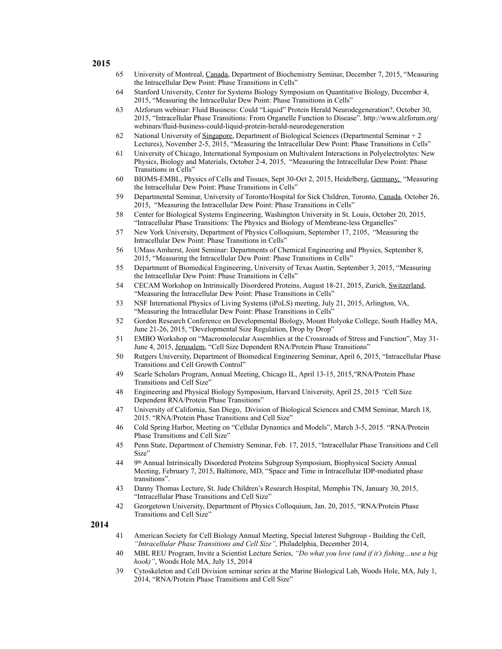- **2015**
- 65 University of Montreal, Canada, Department of Biochemistry Seminar, December 7, 2015, "Measuring the Intracellular Dew Point: Phase Transitions in Cells"
- 64 Stanford University, Center for Systems Biology Symposium on Quantitative Biology, December 4, 2015, "Measuring the Intracellular Dew Point: Phase Transitions in Cells"
- 63 Alzforum webinar: Fluid Business: Could "Liquid" Protein Herald Neurodegeneration?, October 30, 2015, "Intracellular Phase Transitions: From Organelle Function to Disease". http://www.alzforum.org/ webinars/fluid-business-could-liquid-protein-herald-neurodegeneration
- 62 National University of Singapore, Department of Biological Sciences (Departmental Seminar + 2 Lectures), November 2-5, 2015, "Measuring the Intracellular Dew Point: Phase Transitions in Cells"
- 61 University of Chicago, International Symposium on Multivalent Interactions in Polyelectrolytes: New Physics, Biology and Materials, October 2-4, 2015, "Measuring the Intracellular Dew Point: Phase Transitions in Cells"
- 60 BIOMS-EMBL, Physics of Cells and Tissues, Sept 30-Oct 2, 2015, Heidelberg, Germany, "Measuring the Intracellular Dew Point: Phase Transitions in Cells"
- 59 Departmental Seminar, University of Toronto/Hospital for Sick Children, Toronto, Canada, October 26, 2015, "Measuring the Intracellular Dew Point: Phase Transitions in Cells"
- 58 Center for Biological Systems Engineering, Washington University in St. Louis, October 20, 2015, "Intracellular Phase Transitions: The Physics and Biology of Membrane-less Organelles"
- 57 New York University, Department of Physics Colloquium, September 17, 2105, "Measuring the Intracellular Dew Point: Phase Transitions in Cells"
- 56 UMass Amherst, Joint Seminar: Departments of Chemical Engineering and Physics, September 8, 2015, "Measuring the Intracellular Dew Point: Phase Transitions in Cells"
- 55 Department of Biomedical Engineering, University of Texas Austin, September 3, 2015, "Measuring the Intracellular Dew Point: Phase Transitions in Cells"
- 54 CECAM Workshop on Intrinsically Disordered Proteins, August 18-21, 2015, Zurich, Switzerland, "Measuring the Intracellular Dew Point: Phase Transitions in Cells"
- 53 NSF International Physics of Living Systems (iPoLS) meeting, July 21, 2015, Arlington, VA, "Measuring the Intracellular Dew Point: Phase Transitions in Cells"
- 52 Gordon Research Conference on Developmental Biology, Mount Holyoke College, South Hadley MA, June 21-26, 2015, "Developmental Size Regulation, Drop by Drop"
- 51 EMBO Workshop on "Macromolecular Assemblies at the Crossroads of Stress and Function", May 31- June 4, 2015, Jerusalem, "Cell Size Dependent RNA/Protein Phase Transitions"
- 50 Rutgers University, Department of Biomedical Engineering Seminar, April 6, 2015, "Intracellular Phase Transitions and Cell Growth Control"
- 49 Searle Scholars Program, Annual Meeting, Chicago IL, April 13-15, 2015,"RNA/Protein Phase Transitions and Cell Size"
- 48 Engineering and Physical Biology Symposium, Harvard University, April 25, 2015 *"*Cell Size Dependent RNA/Protein Phase Transitions"
- 47 University of California, San Diego, Division of Biological Sciences and CMM Seminar, March 18, 2015. "RNA/Protein Phase Transitions and Cell Size"
- 46 Cold Spring Harbor, Meeting on "Cellular Dynamics and Models", March 3-5, 2015. "RNA/Protein Phase Transitions and Cell Size"
- 45 Penn State, Department of Chemistry Seminar, Feb. 17, 2015, "Intracellular Phase Transitions and Cell Size"
- 44 9th Annual Intrinsically Disordered Proteins Subgroup Symposium, Biophysical Society Annual Meeting, February 7, 2015, Baltimore, MD, "Space and Time in Intracellular IDP-mediated phase transitions".
- 43 Danny Thomas Lecture, St. Jude Children's Research Hospital, Memphis TN, January 30, 2015, "Intracellular Phase Transitions and Cell Size"
- 42 Georgetown University, Department of Physics Colloquium, Jan. 20, 2015, "RNA/Protein Phase Transitions and Cell Size"

- 41 American Society for Cell Biology Annual Meeting, Special Interest Subgroup Building the Cell, *"Intracellular Phase Transitions and Cell Size",* Philadelphia, December 2014,
- 40 MBL REU Program, Invite a Scientist Lecture Series, *"Do what you love (and if it's fishing…use a big hook)"*, Woods Hole MA, July 15, 2014
- 39 Cytoskeleton and Cell Division seminar series at the Marine Biological Lab, Woods Hole, MA, July 1, 2014, "RNA/Protein Phase Transitions and Cell Size"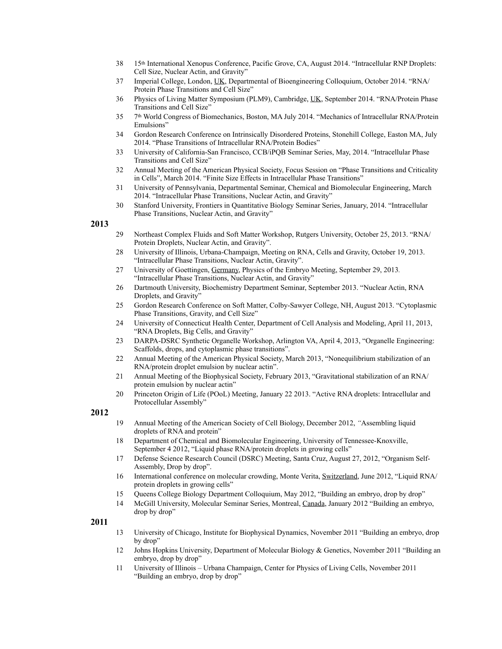- 38 15th International Xenopus Conference, Pacific Grove, CA, August 2014. "Intracellular RNP Droplets: Cell Size, Nuclear Actin, and Gravity"
- 37 Imperial College, London, UK, Departmental of Bioengineering Colloquium, October 2014. "RNA/ Protein Phase Transitions and Cell Size"
- 36 Physics of Living Matter Symposium (PLM9), Cambridge, UK, September 2014. "RNA/Protein Phase Transitions and Cell Size"
- 35 7th World Congress of Biomechanics, Boston, MA July 2014. "Mechanics of Intracellular RNA/Protein Emulsions"
- 34 Gordon Research Conference on Intrinsically Disordered Proteins, Stonehill College, Easton MA, July 2014. "Phase Transitions of Intracellular RNA/Protein Bodies"
- 33 University of California-San Francisco, CCB/iPQB Seminar Series, May, 2014. "Intracellular Phase Transitions and Cell Size"
- 32 Annual Meeting of the American Physical Society, Focus Session on "Phase Transitions and Criticality in Cells", March 2014. "Finite Size Effects in Intracellular Phase Transitions"
- 31 University of Pennsylvania, Departmental Seminar, Chemical and Biomolecular Engineering, March 2014. "Intracellular Phase Transitions, Nuclear Actin, and Gravity"
- 30 Stanford University, Frontiers in Quantitative Biology Seminar Series, January, 2014. "Intracellular Phase Transitions, Nuclear Actin, and Gravity"

- 29 Northeast Complex Fluids and Soft Matter Workshop, Rutgers University, October 25, 2013. "RNA/ Protein Droplets, Nuclear Actin, and Gravity".
- 28 University of Illinois, Urbana-Champaign, Meeting on RNA, Cells and Gravity, October 19, 2013. "Intracellular Phase Transitions, Nuclear Actin, Gravity".
- 27 University of Goettingen, Germany, Physics of the Embryo Meeting, September 29, 2013*.* "Intracellular Phase Transitions, Nuclear Actin, and Gravity"
- 26 Dartmouth University, Biochemistry Department Seminar, September 2013. "Nuclear Actin, RNA Droplets, and Gravity"
- 25 Gordon Research Conference on Soft Matter, Colby-Sawyer College, NH, August 2013. "Cytoplasmic Phase Transitions, Gravity, and Cell Size"
- 24 University of Connecticut Health Center, Department of Cell Analysis and Modeling, April 11, 2013, "RNA Droplets, Big Cells, and Gravity"
- 23 DARPA-DSRC Synthetic Organelle Workshop, Arlington VA, April 4, 2013, "Organelle Engineering: Scaffolds, drops, and cytoplasmic phase transitions".
- 22 Annual Meeting of the American Physical Society, March 2013, "Nonequilibrium stabilization of an RNA/protein droplet emulsion by nuclear actin".
- 21 Annual Meeting of the Biophysical Society, February 2013, "Gravitational stabilization of an RNA/ protein emulsion by nuclear actin"
- 20 Princeton Origin of Life (POoL) Meeting, January 22 2013. "Active RNA droplets: Intracellular and Protocellular Assembly"

#### **2012**

- 19 Annual Meeting of the American Society of Cell Biology, December 2012, *"*Assembling liquid droplets of RNA and protein"
- 18 Department of Chemical and Biomolecular Engineering, University of Tennessee-Knoxville, September 4 2012, "Liquid phase RNA/protein droplets in growing cells"
- 17 Defense Science Research Council (DSRC) Meeting, Santa Cruz, August 27, 2012, "Organism Self-Assembly, Drop by drop".
- 16 International conference on molecular crowding, Monte Verita, Switzerland, June 2012, "Liquid RNA/ protein droplets in growing cells"
- 15 Queens College Biology Department Colloquium, May 2012, "Building an embryo, drop by drop"
- 14 McGill University, Molecular Seminar Series, Montreal, Canada, January 2012 "Building an embryo, drop by drop"

- 13 University of Chicago, Institute for Biophysical Dynamics, November 2011 "Building an embryo, drop by drop"
- 12 Johns Hopkins University, Department of Molecular Biology & Genetics, November 2011 "Building an embryo, drop by drop"
- 11 University of Illinois Urbana Champaign, Center for Physics of Living Cells, November 2011 "Building an embryo, drop by drop"